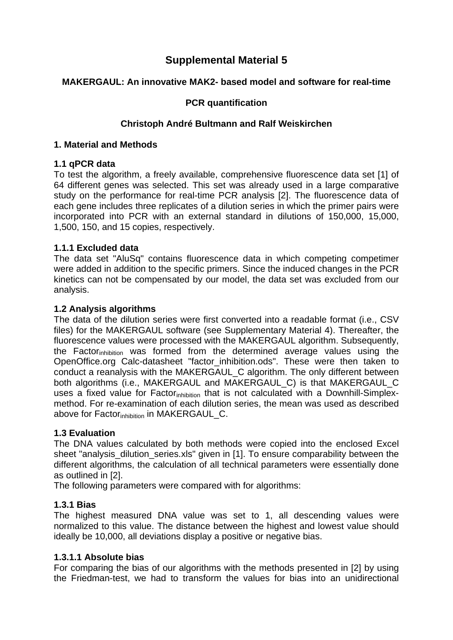# **Supplemental Material 5**

# **MAKERGAUL: An innovative MAK2- based model and software for real-time**

# **PCR quantification**

# **Christoph André Bultmann and Ralf Weiskirchen**

#### **1. Material and Methods**

## **1.1 qPCR data**

To test the algorithm, a freely available, comprehensive fluorescence data set [1] of 64 different genes was selected. This set was already used in a large comparative study on the performance for real-time PCR analysis [2]. The fluorescence data of each gene includes three replicates of a dilution series in which the primer pairs were incorporated into PCR with an external standard in dilutions of 150,000, 15,000, 1,500, 150, and 15 copies, respectively.

## **1.1.1 Excluded data**

The data set "AluSq" contains fluorescence data in which competing competimer were added in addition to the specific primers. Since the induced changes in the PCR kinetics can not be compensated by our model, the data set was excluded from our analysis.

## **1.2 Analysis algorithms**

The data of the dilution series were first converted into a readable format (i.e., CSV files) for the MAKERGAUL software (see Supplementary Material 4). Thereafter, the fluorescence values were processed with the MAKERGAUL algorithm. Subsequently, the Factorinhibition was formed from the determined average values using the OpenOffice.org Calc-datasheet "factor\_inhibition.ods". These were then taken to conduct a reanalysis with the MAKERGAUL\_C algorithm. The only different between both algorithms (i.e., MAKERGAUL and MAKERGAUL C) is that MAKERGAUL C uses a fixed value for Factor<sub>inhibition</sub> that is not calculated with a Downhill-Simplexmethod. For re-examination of each dilution series, the mean was used as described above for Factor<sub>inhibition</sub> in MAKERGAUL C.

## **1.3 Evaluation**

The DNA values calculated by both methods were copied into the enclosed Excel sheet "analysis dilution series.xls" given in [1]. To ensure comparability between the different algorithms, the calculation of all technical parameters were essentially done as outlined in [2].

The following parameters were compared with for algorithms:

## **1.3.1 Bias**

The highest measured DNA value was set to 1, all descending values were normalized to this value. The distance between the highest and lowest value should ideally be 10,000, all deviations display a positive or negative bias.

## **1.3.1.1 Absolute bias**

For comparing the bias of our algorithms with the methods presented in [2] by using the Friedman-test, we had to transform the values for bias into an unidirectional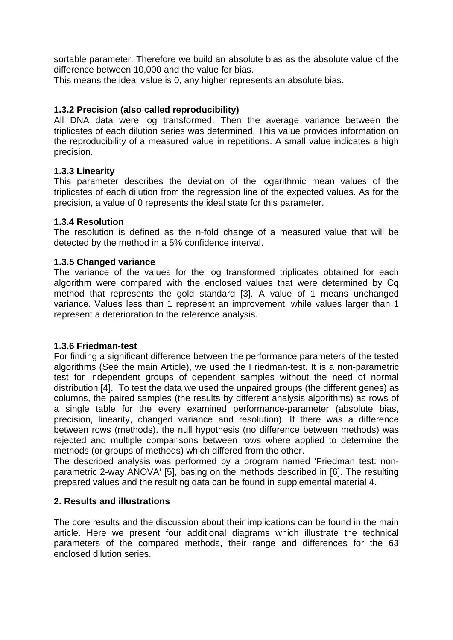sortable parameter. Therefore we build an absolute bias as the absolute value of the difference between 10,000 and the value for bias.

This means the ideal value is 0, any higher represents an absolute bias.

# **1.3.2 Precision (also called reproducibility)**

All DNA data were log transformed. Then the average variance between the triplicates of each dilution series was determined. This value provides information on the reproducibility of a measured value in repetitions. A small value indicates a high precision.

## **1.3.3 Linearity**

This parameter describes the deviation of the logarithmic mean values of the triplicates of each dilution from the regression line of the expected values. As for the precision, a value of 0 represents the ideal state for this parameter.

#### **1.3.4 Resolution**

The resolution is defined as the n-fold change of a measured value that will be detected by the method in a 5% confidence interval.

#### **1.3.5 Changed variance**

The variance of the values for the log transformed triplicates obtained for each algorithm were compared with the enclosed values that were determined by Cq method that represents the gold standard [3]. A value of 1 means unchanged variance. Values less than 1 represent an improvement, while values larger than 1 represent a deterioration to the reference analysis.

#### **1.3.6 Friedman-test**

For finding a significant difference between the performance parameters of the tested algorithms (See the main Article), we used the Friedman-test. It is a non-parametric test for independent groups of dependent samples without the need of normal distribution [4]. To test the data we used the unpaired groups (the different genes) as columns, the paired samples (the results by different analysis algorithms) as rows of a single table for the every examined performance-parameter (absolute bias, precision, linearity, changed variance and resolution). If there was a difference between rows (methods), the null hypothesis (no difference between methods) was rejected and multiple comparisons between rows where applied to determine the methods (or groups of methods) which differed from the other.

The described analysis was performed by a program named 'Friedman test: nonparametric 2-way ANOVA' [5], basing on the methods described in [6]. The resulting prepared values and the resulting data can be found in supplemental material 4.

## **2. Results and illustrations**

The core results and the discussion about their implications can be found in the main article. Here we present four additional diagrams which illustrate the technical parameters of the compared methods, their range and differences for the 63 enclosed dilution series.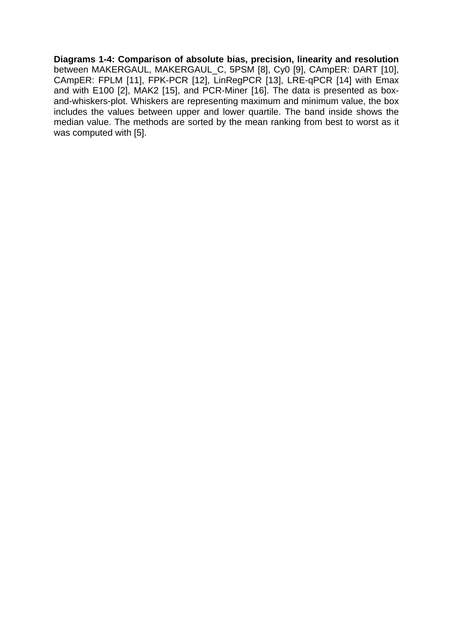**Diagrams 1-4: Comparison of absolute bias, precision, linearity and resolution**  between MAKERGAUL, MAKERGAUL\_C, 5PSM [8], Cy0 [9], CAmpER: DART [10], CAmpER: FPLM [11], FPK-PCR [12], LinRegPCR [13], LRE-qPCR [14] with Emax and with E100 [2], MAK2 [15], and PCR-Miner [16]. The data is presented as boxand-whiskers-plot. Whiskers are representing maximum and minimum value, the box includes the values between upper and lower quartile. The band inside shows the median value. The methods are sorted by the mean ranking from best to worst as it was computed with [5].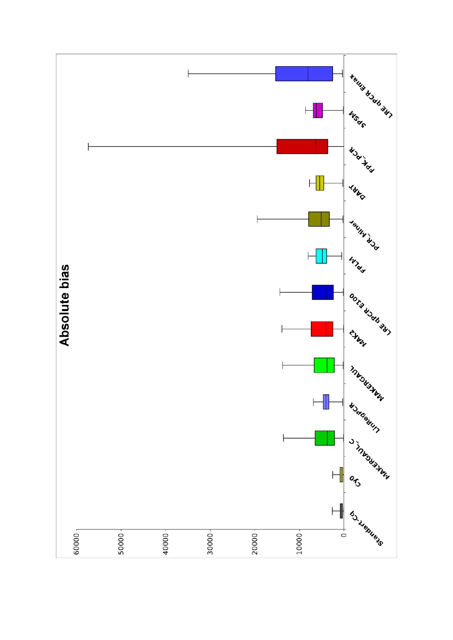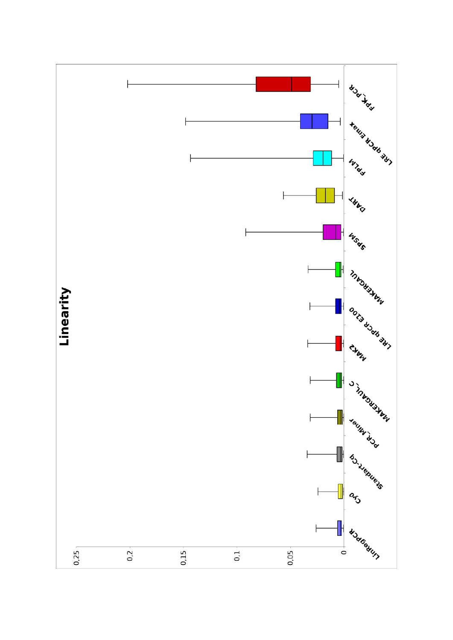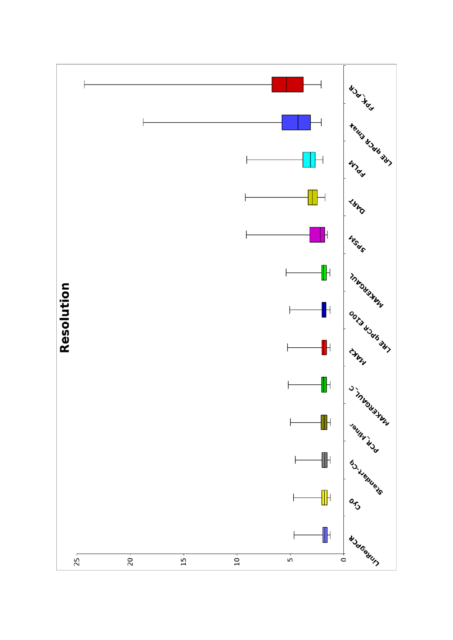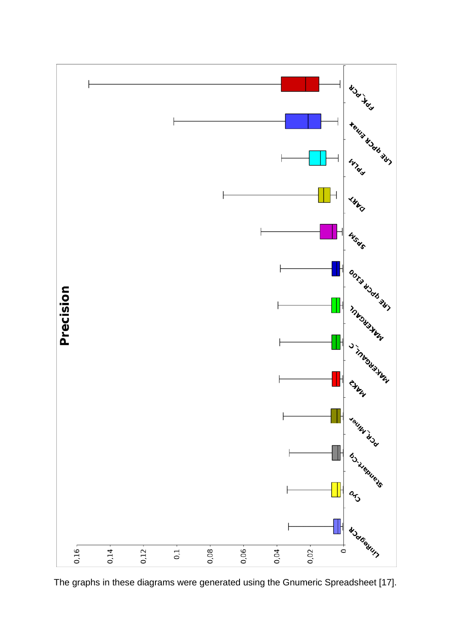

The graphs in these diagrams were generated using the Gnumeric Spreadsheet [17].